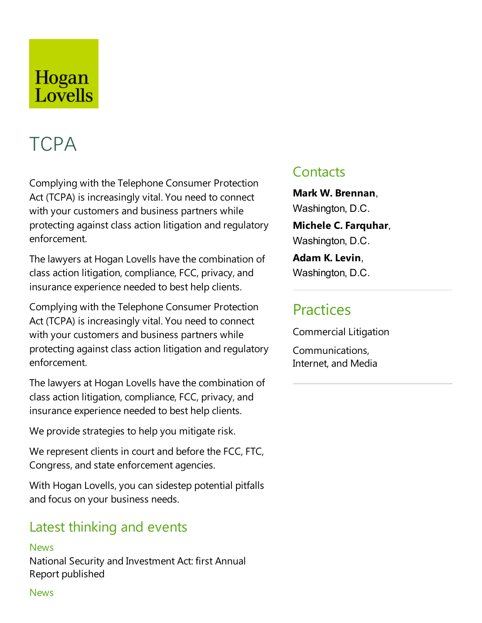# Hogan Lovells

# **TCPA**

Complying with the Telephone Consumer Protection Act (TCPA) is increasingly vital. You need to connect with your customers and business partners while protecting against class action litigation and regulatory enforcement.

The lawyers at Hogan Lovells have the combination of class action litigation, compliance, FCC, privacy, and insurance experience needed to best help clients.

Complying with the Telephone Consumer Protection Act (TCPA) is increasingly vital. You need to connect with your customers and business partners while protecting against class action litigation and regulatory enforcement.

The lawyers at Hogan Lovells have the combination of class action litigation, compliance, FCC, privacy, and insurance experience needed to best help clients.

We provide strategies to help you mitigate risk.

We represent clients in court and before the FCC, FTC, Congress, and state enforcement agencies.

With Hogan Lovells, you can sidestep potential pitfalls and focus on your business needs.

# Latest thinking and events

**News** National Security and Investment Act: first Annual Report published

# **Contacts**

**Mark W. Brennan**, Washington, D.C.

**Michele C.Farquhar**, Washington, D.C.

**Adam K.Levin**, Washington, D.C.

# **Practices**

Commercial Litigation

Communications, Internet, and Media

#### **News**